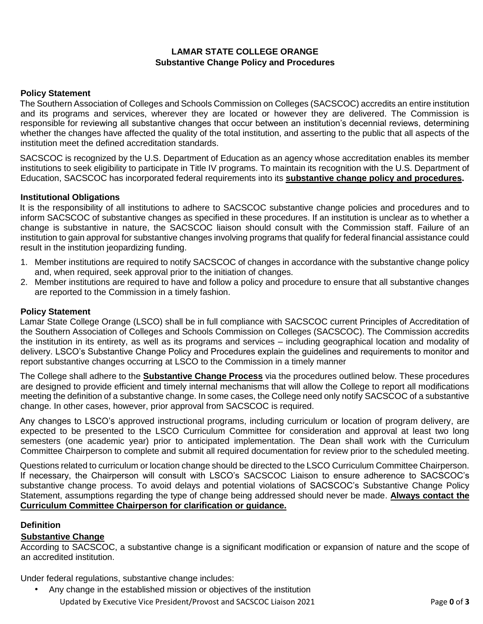# **LAMAR STATE COLLEGE ORANGE Substantive Change Policy and Procedures**

## **Policy Statement**

The Southern Association of Colleges and Schools Commission on Colleges (SACSCOC) accredits an entire institution and its programs and services, wherever they are located or however they are delivered. The Commission is responsible for reviewing all substantive changes that occur between an institution's decennial reviews, determining whether the changes have affected the quality of the total institution, and asserting to the public that all aspects of the institution meet the defined accreditation standards.

SACSCOC is recognized by the U.S. Department of Education as an agency whose accreditation enables its member institutions to seek eligibility to participate in Title IV programs. To maintain its recognition with the U.S. Department of Education, SACSCOC has incorporated federal requirements into its **[substantive change policy and procedures.](http://sacscoc.org/pdf/081705/SubstantiveChange.pdf)**

#### **Institutional Obligations**

It is the responsibility of all institutions to adhere to SACSCOC substantive change policies and procedures and to inform SACSCOC of substantive changes as specified in these procedures. If an institution is unclear as to whether a change is substantive in nature, the SACSCOC liaison should consult with the Commission staff. Failure of an institution to gain approval for substantive changes involving programs that qualify for federal financial assistance could result in the institution jeopardizing funding.

- 1. Member institutions are required to notify SACSCOC of changes in accordance with the substantive change policy and, when required, seek approval prior to the initiation of changes.
- 2. Member institutions are required to have and follow a policy and procedure to ensure that all substantive changes are reported to the Commission in a timely fashion.

#### **Policy Statement**

Lamar State College Orange (LSCO) shall be in full compliance with SACSCOC current Principles of Accreditation of the Southern Association of Colleges and Schools Commission on Colleges (SACSCOC). The Commission accredits the institution in its entirety, as well as its programs and services – including geographical location and modality of delivery. LSCO's Substantive Change Policy and Procedures explain the guidelines and requirements to monitor and report substantive changes occurring at LSCO to the Commission in a timely manner

The College shall adhere to the **[Substantive Change Process](https://sacscoc.org/app/uploads/2019/08/SubstantiveChange.pdf)** via the procedures outlined below. These procedures are designed to provide efficient and timely internal mechanisms that will allow the College to report all modifications meeting the definition of a substantive change. In some cases, the College need only notify SACSCOC of a substantive change. In other cases, however, prior approval from SACSCOC is required.

Any changes to LSCO's approved instructional programs, including curriculum or location of program delivery, are expected to be presented to the LSCO Curriculum Committee for consideration and approval at least two long semesters (one academic year) prior to anticipated implementation. The Dean shall work with the Curriculum Committee Chairperson to complete and submit all required documentation for review prior to the scheduled meeting.

Questions related to curriculum or location change should be directed to the LSCO Curriculum Committee Chairperson. If necessary, the Chairperson will consult with LSCO's SACSCOC Liaison to ensure adherence to SACSCOC's substantive change process. To avoid delays and potential violations of SACSCOC's Substantive Change Policy Statement, assumptions regarding the type of change being addressed should never be made. **Always contact the Curriculum Committee Chairperson for clarification or guidance.**

#### **Definition**

#### **Substantive Change**

According to SACSCOC, a substantive change is a significant modification or expansion of nature and the scope of an accredited institution.

Under federal regulations, substantive change includes:

Updated by Executive Vice President/Provost and SACSCOC Liaison 2021 Page **0** of **3** • Any change in the established mission or objectives of the institution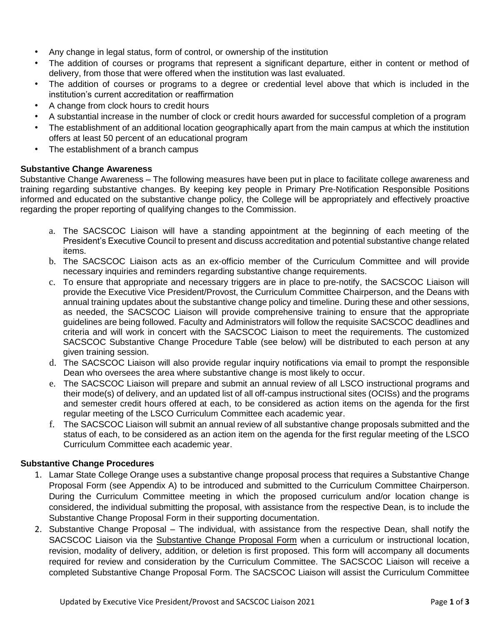- Any change in legal status, form of control, or ownership of the institution
- The addition of courses or programs that represent a significant departure, either in content or method of delivery, from those that were offered when the institution was last evaluated.
- The addition of courses or programs to a degree or credential level above that which is included in the institution's current accreditation or reaffirmation
- A change from clock hours to credit hours
- A substantial increase in the number of clock or credit hours awarded for successful completion of a program
- The establishment of an additional location geographically apart from the main campus at which the institution offers at least 50 percent of an educational program
- The establishment of a branch campus

## **Substantive Change Awareness**

Substantive Change Awareness – The following measures have been put in place to facilitate college awareness and training regarding substantive changes. By keeping key people in Primary Pre-Notification Responsible Positions informed and educated on the substantive change policy, the College will be appropriately and effectively proactive regarding the proper reporting of qualifying changes to the Commission.

- a. The SACSCOC Liaison will have a standing appointment at the beginning of each meeting of the President's Executive Council to present and discuss accreditation and potential substantive change related items.
- b. The SACSCOC Liaison acts as an ex-officio member of the Curriculum Committee and will provide necessary inquiries and reminders regarding substantive change requirements.
- c. To ensure that appropriate and necessary triggers are in place to pre-notify, the SACSCOC Liaison will provide the Executive Vice President/Provost, the Curriculum Committee Chairperson, and the Deans with annual training updates about the substantive change policy and timeline. During these and other sessions, as needed, the SACSCOC Liaison will provide comprehensive training to ensure that the appropriate guidelines are being followed. Faculty and Administrators will follow the requisite SACSCOC deadlines and criteria and will work in concert with the SACSCOC Liaison to meet the requirements. The customized SACSCOC Substantive Change Procedure Table (see below) will be distributed to each person at any given training session.
- d. The SACSCOC Liaison will also provide regular inquiry notifications via email to prompt the responsible Dean who oversees the area where substantive change is most likely to occur.
- e. The SACSCOC Liaison will prepare and submit an annual review of all LSCO instructional programs and their mode(s) of delivery, and an updated list of all off-campus instructional sites (OCISs) and the programs and semester credit hours offered at each, to be considered as action items on the agenda for the first regular meeting of the LSCO Curriculum Committee each academic year.
- f. The SACSCOC Liaison will submit an annual review of all substantive change proposals submitted and the status of each, to be considered as an action item on the agenda for the first regular meeting of the LSCO Curriculum Committee each academic year.

## **Substantive Change Procedures**

- 1. Lamar State College Orange uses a substantive change proposal process that requires a Substantive Change Proposal Form (see Appendix A) to be introduced and submitted to the Curriculum Committee Chairperson. During the Curriculum Committee meeting in which the proposed curriculum and/or location change is considered, the individual submitting the proposal, with assistance from the respective Dean, is to include the Substantive Change Proposal Form in their supporting documentation.
- 2. Substantive Change Proposal The individual, with assistance from the respective Dean, shall notify the SACSCOC Liaison via the Substantive Change Proposal Form when a curriculum or instructional location, revision, modality of delivery, addition, or deletion is first proposed. This form will accompany all documents required for review and consideration by the Curriculum Committee. The SACSCOC Liaison will receive a completed Substantive Change Proposal Form. The SACSCOC Liaison will assist the Curriculum Committee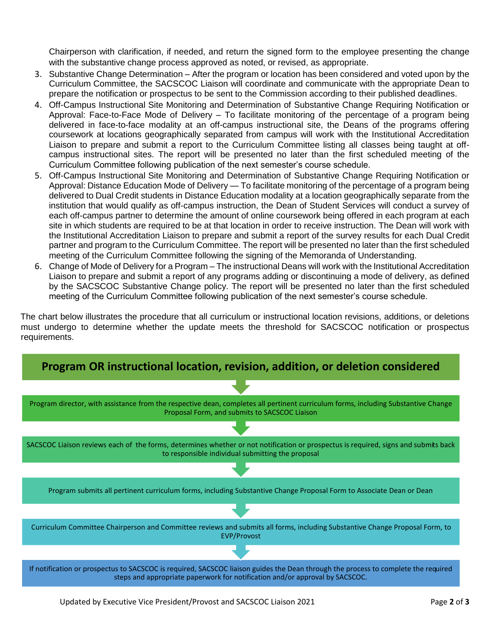Chairperson with clarification, if needed, and return the signed form to the employee presenting the change with the substantive change process approved as noted, or revised, as appropriate.

- 3. Substantive Change Determination After the program or location has been considered and voted upon by the Curriculum Committee, the SACSCOC Liaison will coordinate and communicate with the appropriate Dean to prepare the notification or prospectus to be sent to the Commission according to their published deadlines.
- 4. Off-Campus Instructional Site Monitoring and Determination of Substantive Change Requiring Notification or Approval: Face-to-Face Mode of Delivery – To facilitate monitoring of the percentage of a program being delivered in face-to-face modality at an off-campus instructional site, the Deans of the programs offering coursework at locations geographically separated from campus will work with the Institutional Accreditation Liaison to prepare and submit a report to the Curriculum Committee listing all classes being taught at offcampus instructional sites. The report will be presented no later than the first scheduled meeting of the Curriculum Committee following publication of the next semester's course schedule.
- 5. Off-Campus Instructional Site Monitoring and Determination of Substantive Change Requiring Notification or Approval: Distance Education Mode of Delivery — To facilitate monitoring of the percentage of a program being delivered to Dual Credit students in Distance Education modality at a location geographically separate from the institution that would qualify as off-campus instruction, the Dean of Student Services will conduct a survey of each off-campus partner to determine the amount of online coursework being offered in each program at each site in which students are required to be at that location in order to receive instruction. The Dean will work with the Institutional Accreditation Liaison to prepare and submit a report of the survey results for each Dual Credit partner and program to the Curriculum Committee. The report will be presented no later than the first scheduled meeting of the Curriculum Committee following the signing of the Memoranda of Understanding.
- 6. Change of Mode of Delivery for a Program The instructional Deans will work with the Institutional Accreditation Liaison to prepare and submit a report of any programs adding or discontinuing a mode of delivery, as defined by the SACSCOC Substantive Change policy. The report will be presented no later than the first scheduled meeting of the Curriculum Committee following publication of the next semester's course schedule.

The chart below illustrates the procedure that all curriculum or instructional location revisions, additions, or deletions must undergo to determine whether the update meets the threshold for SACSCOC notification or prospectus requirements.



Updated by Executive Vice President/Provost and SACSCOC Liaison 2021 Page **2** of **3**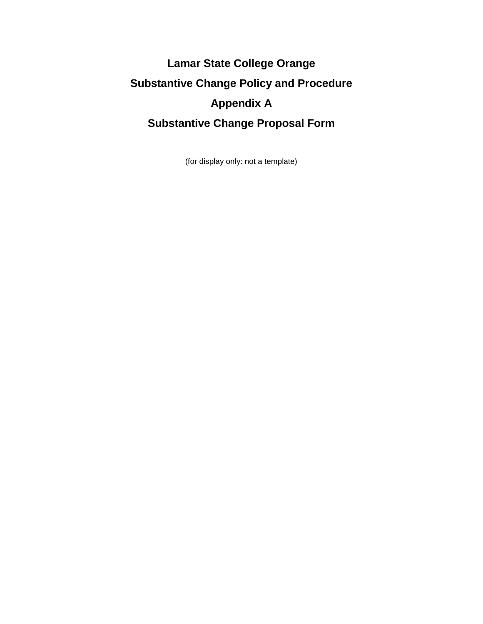# **Lamar State College Orange Substantive Change Policy and Procedure Appendix A Substantive Change Proposal Form**

(for display only: not a template)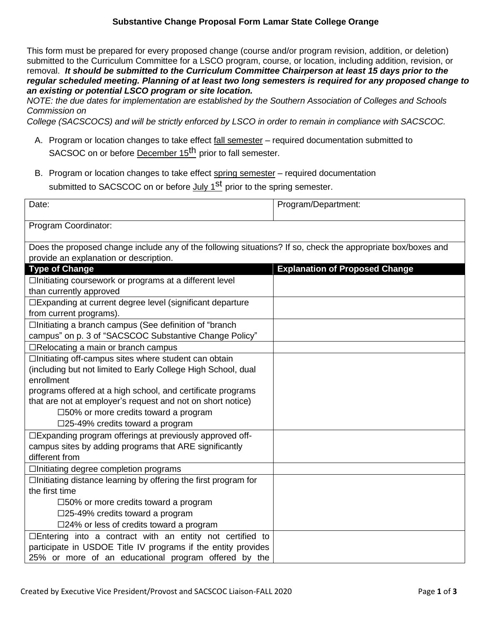## **Substantive Change Proposal Form Lamar State College Orange**

This form must be prepared for every proposed change (course and/or program revision, addition, or deletion) submitted to the Curriculum Committee for a LSCO program, course, or location, including addition, revision, or removal. *It should be submitted to the Curriculum Committee Chairperson at least 15 days prior to the regular scheduled meeting. Planning of at least two long semesters is required for any proposed change to an existing or potential LSCO program or site location.*

*NOTE: the due dates for implementation are established by the Southern Association of Colleges and Schools Commission on*

*College (SACSCOCS) and will be strictly enforced by LSCO in order to remain in compliance with SACSCOC.*

- A. Program or location changes to take effect fall semester required documentation submitted to SACSOC on or before December 15<sup>th</sup> prior to fall semester.
- B. Program or location changes to take effect spring semester required documentation submitted to SACSCOC on or before <u>July 1<sup>st</sup></u> prior to the spring semester.

| Date:                                                                                                                            | Program/Department:                   |
|----------------------------------------------------------------------------------------------------------------------------------|---------------------------------------|
| Program Coordinator:                                                                                                             |                                       |
| Does the proposed change include any of the following situations? If so, check the appropriate box/boxes and                     |                                       |
| provide an explanation or description.                                                                                           |                                       |
| <b>Type of Change</b>                                                                                                            | <b>Explanation of Proposed Change</b> |
| □Initiating coursework or programs at a different level                                                                          |                                       |
| than currently approved                                                                                                          |                                       |
| □Expanding at current degree level (significant departure                                                                        |                                       |
| from current programs).                                                                                                          |                                       |
| □Initiating a branch campus (See definition of "branch"                                                                          |                                       |
| campus" on p. 3 of "SACSCOC Substantive Change Policy"                                                                           |                                       |
| $\Box$ Relocating a main or branch campus                                                                                        |                                       |
| □Initiating off-campus sites where student can obtain                                                                            |                                       |
| (including but not limited to Early College High School, dual                                                                    |                                       |
| enrollment                                                                                                                       |                                       |
| programs offered at a high school, and certificate programs                                                                      |                                       |
| that are not at employer's request and not on short notice)                                                                      |                                       |
| □50% or more credits toward a program                                                                                            |                                       |
| $\square$ 25-49% credits toward a program                                                                                        |                                       |
| □Expanding program offerings at previously approved off-                                                                         |                                       |
| campus sites by adding programs that ARE significantly<br>different from                                                         |                                       |
|                                                                                                                                  |                                       |
| □Initiating degree completion programs                                                                                           |                                       |
| $\Box$ Initiating distance learning by offering the first program for<br>the first time                                          |                                       |
|                                                                                                                                  |                                       |
| □50% or more credits toward a program                                                                                            |                                       |
| $\square$ 25-49% credits toward a program                                                                                        |                                       |
| $\square$ 24% or less of credits toward a program                                                                                |                                       |
| $\Box$ Entering into a contract with an entity not certified to<br>participate in USDOE Title IV programs if the entity provides |                                       |
| 25% or more of an educational program offered by the                                                                             |                                       |
|                                                                                                                                  |                                       |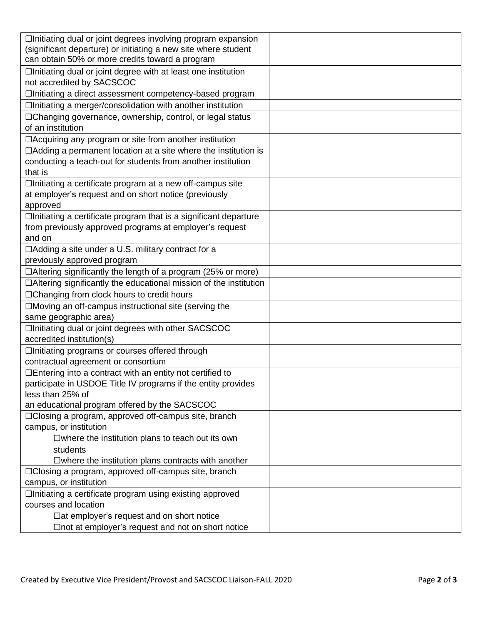| $\Box$ Initiating dual or joint degrees involving program expansion      |  |
|--------------------------------------------------------------------------|--|
| (significant departure) or initiating a new site where student           |  |
| can obtain 50% or more credits toward a program                          |  |
| □Initiating dual or joint degree with at least one institution           |  |
| not accredited by SACSCOC                                                |  |
| □Initiating a direct assessment competency-based program                 |  |
| □Initiating a merger/consolidation with another institution              |  |
| □Changing governance, ownership, control, or legal status                |  |
| of an institution                                                        |  |
| □ Acquiring any program or site from another institution                 |  |
| $\Box$ Adding a permanent location at a site where the institution is    |  |
| conducting a teach-out for students from another institution             |  |
| that is                                                                  |  |
| □Initiating a certificate program at a new off-campus site               |  |
| at employer's request and on short notice (previously                    |  |
| approved                                                                 |  |
| □Initiating a certificate program that is a significant departure        |  |
| from previously approved programs at employer's request                  |  |
| and on                                                                   |  |
| $\Box$ Adding a site under a U.S. military contract for a                |  |
| previously approved program                                              |  |
| $\Box$ Altering significantly the length of a program (25% or more)      |  |
| $\Box$ Altering significantly the educational mission of the institution |  |
| □Changing from clock hours to credit hours                               |  |
| $\Box$ Moving an off-campus instructional site (serving the              |  |
| same geographic area)                                                    |  |
| □Initiating dual or joint degrees with other SACSCOC                     |  |
| accredited institution(s)                                                |  |
| □Initiating programs or courses offered through                          |  |
| contractual agreement or consortium                                      |  |
| $\Box$ Entering into a contract with an entity not certified to          |  |
| participate in USDOE Title IV programs if the entity provides            |  |
| less than 25% of                                                         |  |
| an educational program offered by the SACSCOC                            |  |
| $\Box$ Closing a program, approved off-campus site, branch               |  |
| campus, or institution                                                   |  |
| $\square$ where the institution plans to teach out its own               |  |
| students                                                                 |  |
| $\square$ where the institution plans contracts with another             |  |
| □Closing a program, approved off-campus site, branch                     |  |
| campus, or institution                                                   |  |
| □Initiating a certificate program using existing approved                |  |
| courses and location                                                     |  |
| $\Box$ at employer's request and on short notice                         |  |
| $\Box$ not at employer's request and not on short notice                 |  |